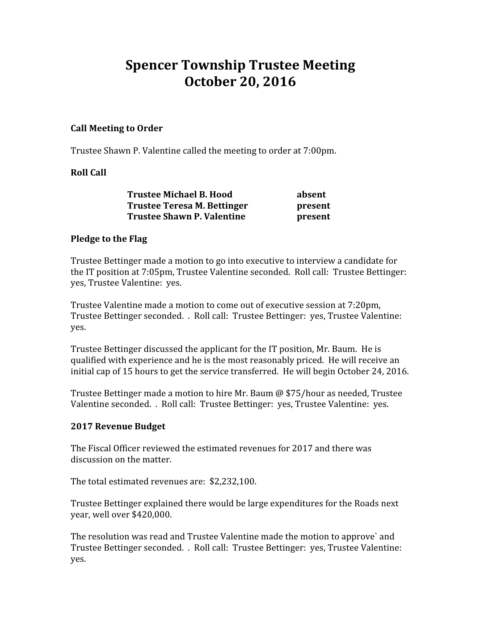# Spencer Township Trustee Meeting October 20, 2016

## Call Meeting to Order

Trustee Shawn P. Valentine called the meeting to order at 7:00pm.

## Roll Call

| <b>Trustee Michael B. Hood</b> | absent  |
|--------------------------------|---------|
| Trustee Teresa M. Bettinger    | present |
| Trustee Shawn P. Valentine     | present |

#### Pledge to the Flag

Trustee Bettinger made a motion to go into executive to interview a candidate for the IT position at 7:05pm, Trustee Valentine seconded. Roll call: Trustee Bettinger: yes, Trustee Valentine: yes.

Trustee Valentine made a motion to come out of executive session at 7:20pm, Trustee Bettinger seconded. . Roll call: Trustee Bettinger: yes, Trustee Valentine: yes.

Trustee Bettinger discussed the applicant for the IT position, Mr. Baum. He is qualified with experience and he is the most reasonably priced. He will receive an initial cap of 15 hours to get the service transferred. He will begin October 24, 2016.

Trustee Bettinger made a motion to hire Mr. Baum @ \$75/hour as needed, Trustee Valentine seconded. . Roll call: Trustee Bettinger: yes, Trustee Valentine: yes.

## 2017 Revenue Budget

The Fiscal Officer reviewed the estimated revenues for 2017 and there was discussion on the matter.

The total estimated revenues are: \$2,232,100.

Trustee Bettinger explained there would be large expenditures for the Roads next year, well over \$420,000.

The resolution was read and Trustee Valentine made the motion to approve` and Trustee Bettinger seconded. . Roll call: Trustee Bettinger: yes, Trustee Valentine: yes.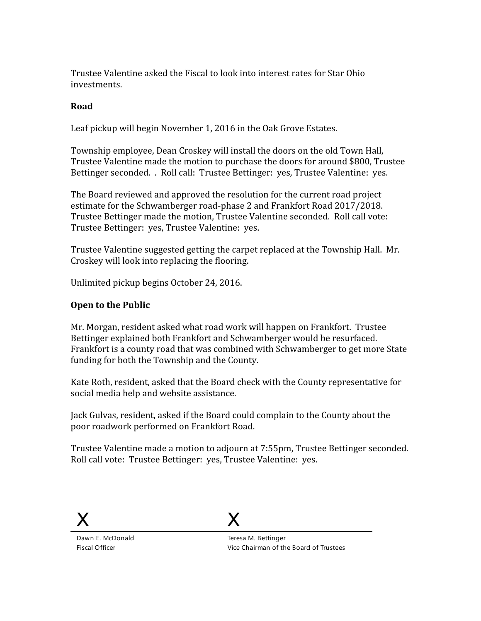Trustee Valentine asked the Fiscal to look into interest rates for Star Ohio investments.

## Road

Leaf pickup will begin November 1, 2016 in the Oak Grove Estates.

Township employee, Dean Croskey will install the doors on the old Town Hall, Trustee Valentine made the motion to purchase the doors for around \$800, Trustee Bettinger seconded. . Roll call: Trustee Bettinger: yes, Trustee Valentine: yes.

The Board reviewed and approved the resolution for the current road project estimate for the Schwamberger road-phase 2 and Frankfort Road 2017/2018. Trustee Bettinger made the motion, Trustee Valentine seconded. Roll call vote: Trustee Bettinger: yes, Trustee Valentine: yes.

Trustee Valentine suggested getting the carpet replaced at the Township Hall. Mr. Croskey will look into replacing the flooring.

Unlimited pickup begins October 24, 2016.

#### Open to the Public

Mr. Morgan, resident asked what road work will happen on Frankfort. Trustee Bettinger explained both Frankfort and Schwamberger would be resurfaced. Frankfort is a county road that was combined with Schwamberger to get more State funding for both the Township and the County.

Kate Roth, resident, asked that the Board check with the County representative for social media help and website assistance.

Jack Gulvas, resident, asked if the Board could complain to the County about the poor roadwork performed on Frankfort Road.

Trustee Valentine made a motion to adjourn at 7:55pm, Trustee Bettinger seconded. Roll call vote: Trustee Bettinger: yes, Trustee Valentine: yes.



Dawn E. McDonald Fiscal Officer



Teresa M. Bettinger Vice Chairman of the Board of Trustees